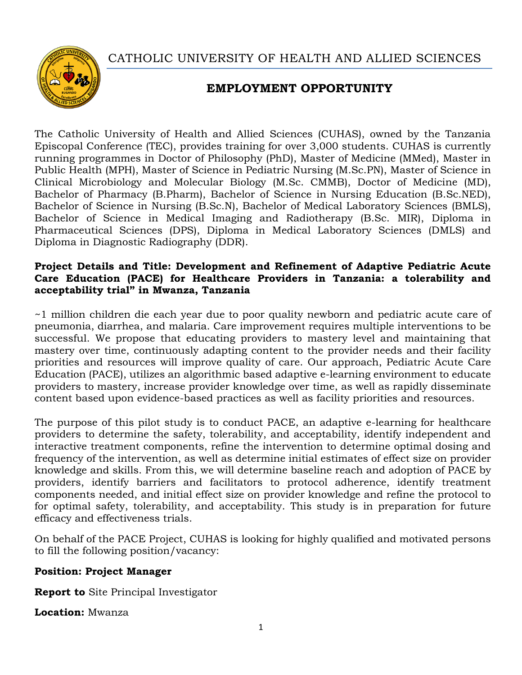CATHOLIC UNIVERSITY OF HEALTH AND ALLIED SCIENCES



# **EMPLOYMENT OPPORTUNITY**

The Catholic University of Health and Allied Sciences (CUHAS), owned by the Tanzania Episcopal Conference (TEC), provides training for over 3,000 students. CUHAS is currently running programmes in Doctor of Philosophy (PhD), Master of Medicine (MMed), Master in Public Health (MPH), Master of Science in Pediatric Nursing (M.Sc.PN), Master of Science in Clinical Microbiology and Molecular Biology (M.Sc. CMMB), Doctor of Medicine (MD), Bachelor of Pharmacy (B.Pharm), Bachelor of Science in Nursing Education (B.Sc.NED), Bachelor of Science in Nursing (B.Sc.N), Bachelor of Medical Laboratory Sciences (BMLS), Bachelor of Science in Medical Imaging and Radiotherapy (B.Sc. MIR), Diploma in Pharmaceutical Sciences (DPS), Diploma in Medical Laboratory Sciences (DMLS) and Diploma in Diagnostic Radiography (DDR).

#### **Project Details and Title: Development and Refinement of Adaptive Pediatric Acute Care Education (PACE) for Healthcare Providers in Tanzania: a tolerability and acceptability trial" in Mwanza, Tanzania**

~1 million children die each year due to poor quality newborn and pediatric acute care of pneumonia, diarrhea, and malaria. Care improvement requires multiple interventions to be successful. We propose that educating providers to mastery level and maintaining that mastery over time, continuously adapting content to the provider needs and their facility priorities and resources will improve quality of care. Our approach, Pediatric Acute Care Education (PACE), utilizes an algorithmic based adaptive e-learning environment to educate providers to mastery, increase provider knowledge over time, as well as rapidly disseminate content based upon evidence-based practices as well as facility priorities and resources.

The purpose of this pilot study is to conduct PACE, an adaptive e-learning for healthcare providers to determine the safety, tolerability, and acceptability, identify independent and interactive treatment components, refine the intervention to determine optimal dosing and frequency of the intervention, as well as determine initial estimates of effect size on provider knowledge and skills. From this, we will determine baseline reach and adoption of PACE by providers, identify barriers and facilitators to protocol adherence, identify treatment components needed, and initial effect size on provider knowledge and refine the protocol to for optimal safety, tolerability, and acceptability. This study is in preparation for future efficacy and effectiveness trials.

On behalf of the PACE Project, CUHAS is looking for highly qualified and motivated persons to fill the following position/vacancy:

#### **Position: Project Manager**

**Report to** Site Principal Investigator

**Location:** Mwanza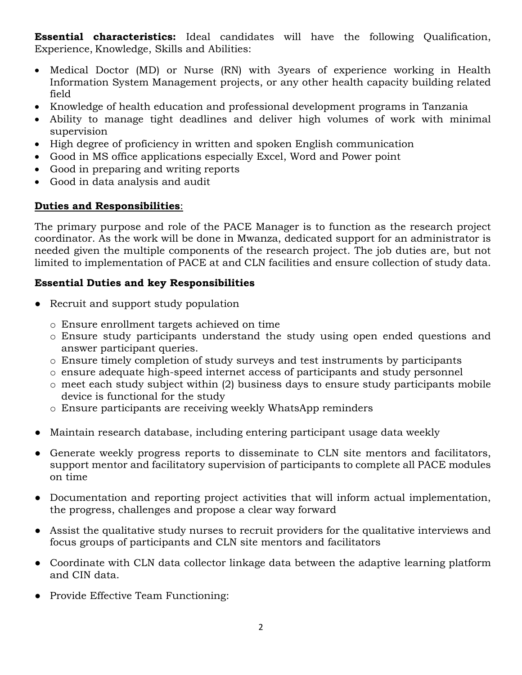**Essential characteristics:** Ideal candidates will have the following Qualification, Experience, Knowledge, Skills and Abilities:

- Medical Doctor (MD) or Nurse (RN) with 3years of experience working in Health Information System Management projects, or any other health capacity building related field
- Knowledge of health education and professional development programs in Tanzania
- Ability to manage tight deadlines and deliver high volumes of work with minimal supervision
- High degree of proficiency in written and spoken English communication
- Good in MS office applications especially Excel, Word and Power point
- Good in preparing and writing reports
- Good in data analysis and audit

# **Duties and Responsibilities**:

The primary purpose and role of the PACE Manager is to function as the research project coordinator. As the work will be done in Mwanza, dedicated support for an administrator is needed given the multiple components of the research project. The job duties are, but not limited to implementation of PACE at and CLN facilities and ensure collection of study data.

# **Essential Duties and key Responsibilities**

- Recruit and support study population
	- o Ensure enrollment targets achieved on time
	- o Ensure study participants understand the study using open ended questions and answer participant queries.
	- o Ensure timely completion of study surveys and test instruments by participants
	- o ensure adequate high-speed internet access of participants and study personnel
	- o meet each study subject within (2) business days to ensure study participants mobile device is functional for the study
	- o Ensure participants are receiving weekly WhatsApp reminders
- Maintain research database, including entering participant usage data weekly
- Generate weekly progress reports to disseminate to CLN site mentors and facilitators, support mentor and facilitatory supervision of participants to complete all PACE modules on time
- Documentation and reporting project activities that will inform actual implementation, the progress, challenges and propose a clear way forward
- Assist the qualitative study nurses to recruit providers for the qualitative interviews and focus groups of participants and CLN site mentors and facilitators
- Coordinate with CLN data collector linkage data between the adaptive learning platform and CIN data.
- Provide Effective Team Functioning: